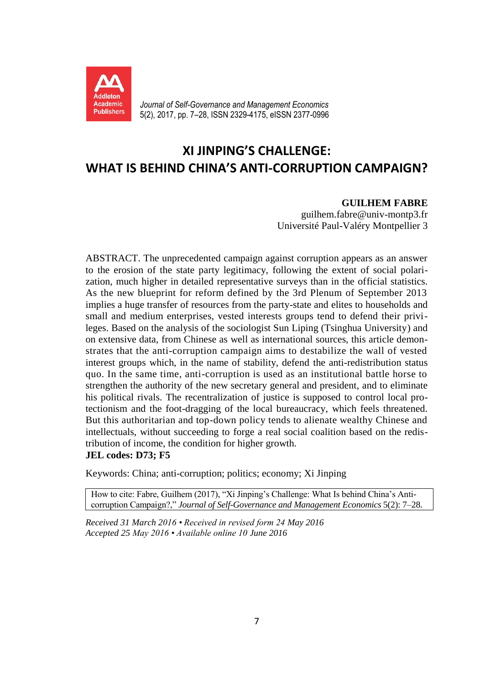

*Journal of Self-Governance and Management Economics* 5(2), 2017, pp. 7–28, ISSN 2329-4175, eISSN 2377-0996

# **XI JINPING'S CHALLENGE: WHAT IS BEHIND CHINA'S ANTI-CORRUPTION CAMPAIGN?**

#### **GUILHEM FABRE**

guilhem.fabre@univ-montp3.fr Université Paul*-*Valéry Montpellier 3

ABSTRACT. The unprecedented campaign against corruption appears as an answer to the erosion of the state party legitimacy, following the extent of social polarization, much higher in detailed representative surveys than in the official statistics. As the new blueprint for reform defined by the 3rd Plenum of September 2013 implies a huge transfer of resources from the party-state and elites to households and small and medium enterprises, vested interests groups tend to defend their privileges. Based on the analysis of the sociologist Sun Liping (Tsinghua University) and on extensive data, from Chinese as well as international sources, this article demonstrates that the anti-corruption campaign aims to destabilize the wall of vested interest groups which, in the name of stability, defend the anti-redistribution status quo. In the same time, anti-corruption is used as an institutional battle horse to strengthen the authority of the new secretary general and president, and to eliminate his political rivals. The recentralization of justice is supposed to control local protectionism and the foot-dragging of the local bureaucracy, which feels threatened. But this authoritarian and top-down policy tends to alienate wealthy Chinese and intellectuals, without succeeding to forge a real social coalition based on the redistribution of income, the condition for higher growth. **JEL codes: D73; F5**

Keywords: China; anti-corruption; politics; economy; Xi Jinping

How to cite: Fabre, Guilhem (2017), "Xi Jinping's Challenge: What Is behind China's Anticorruption Campaign?," *Journal of Self-Governance and Management Economics* 5(2): 7–28.

*Received 31 March 2016 • Received in revised form 24 May 2016 Accepted 25 May 2016 • Available online 10 June 2016*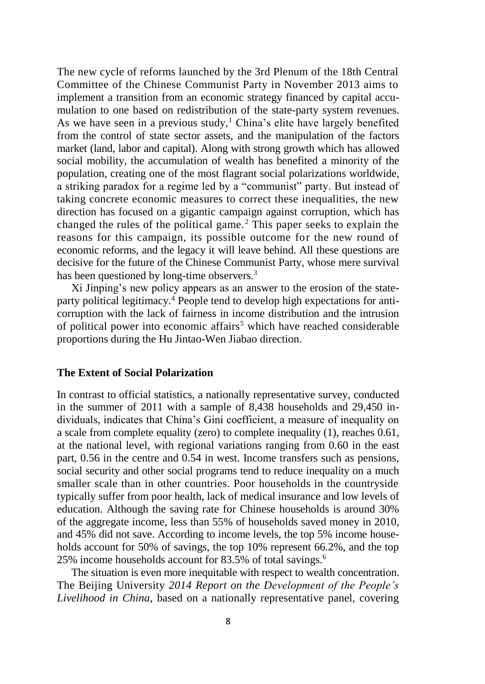The new cycle of reforms launched by the 3rd Plenum of the 18th Central Committee of the Chinese Communist Party in November 2013 aims to implement a transition from an economic strategy financed by capital accumulation to one based on redistribution of the state-party system revenues. As we have seen in a previous study,<sup>1</sup> China's elite have largely benefited from the control of state sector assets, and the manipulation of the factors market (land, labor and capital). Along with strong growth which has allowed social mobility, the accumulation of wealth has benefited a minority of the population, creating one of the most flagrant social polarizations worldwide, a striking paradox for a regime led by a "communist" party. But instead of taking concrete economic measures to correct these inequalities, the new direction has focused on a gigantic campaign against corruption, which has changed the rules of the political game. <sup>2</sup> This paper seeks to explain the reasons for this campaign, its possible outcome for the new round of economic reforms, and the legacy it will leave behind. All these questions are decisive for the future of the Chinese Communist Party, whose mere survival has been questioned by long-time observers.<sup>3</sup>

Xi Jinping's new policy appears as an answer to the erosion of the stateparty political legitimacy.<sup>4</sup> People tend to develop high expectations for anticorruption with the lack of fairness in income distribution and the intrusion of political power into economic affairs<sup>5</sup> which have reached considerable proportions during the Hu Jintao-Wen Jiabao direction.

## **The Extent of Social Polarization**

In contrast to official statistics, a nationally representative survey, conducted in the summer of 2011 with a sample of 8,438 households and 29,450 individuals, indicates that China's Gini coefficient, a measure of inequality on a scale from complete equality (zero) to complete inequality (1), reaches 0.61, at the national level, with regional variations ranging from 0.60 in the east part, 0.56 in the centre and 0.54 in west. Income transfers such as pensions, social security and other social programs tend to reduce inequality on a much smaller scale than in other countries. Poor households in the countryside typically suffer from poor health, lack of medical insurance and low levels of education. Although the saving rate for Chinese households is around 30% of the aggregate income, less than 55% of households saved money in 2010, and 45% did not save. According to income levels, the top 5% income households account for 50% of savings, the top 10% represent 66.2%, and the top 25% income households account for 83.5% of total savings.<sup>6</sup>

The situation is even more inequitable with respect to wealth concentration. The Beijing University *2014 Report on the Development of the People's Livelihood in China*, based on a nationally representative panel, covering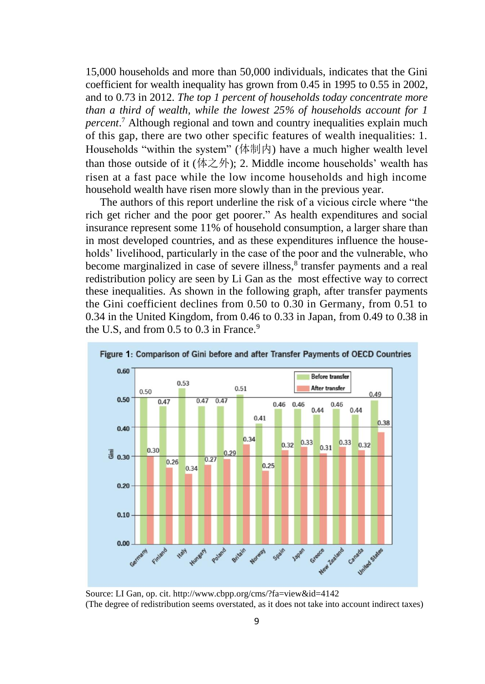15,000 households and more than 50,000 individuals, indicates that the Gini coefficient for wealth inequality has grown from 0.45 in 1995 to 0.55 in 2002, and to 0.73 in 2012. *The top 1 percent of households today concentrate more than a third of wealth, while the lowest 25% of households account for 1 percent*. <sup>7</sup> Although regional and town and country inequalities explain much of this gap, there are two other specific features of wealth inequalities: 1. Households "within the system" (体制内) have a much higher wealth level than those outside of it (体之外); 2. Middle income households' wealth has risen at a fast pace while the low income households and high income household wealth have risen more slowly than in the previous year.

The authors of this report underline the risk of a vicious circle where "the rich get richer and the poor get poorer." As health expenditures and social insurance represent some 11% of household consumption, a larger share than in most developed countries, and as these expenditures influence the households' livelihood, particularly in the case of the poor and the vulnerable, who become marginalized in case of severe illness,<sup>8</sup> transfer payments and a real redistribution policy are seen by Li Gan as the most effective way to correct these inequalities. As shown in the following graph, after transfer payments the Gini coefficient declines from 0.50 to 0.30 in Germany, from 0.51 to 0.34 in the United Kingdom, from 0.46 to 0.33 in Japan, from 0.49 to 0.38 in the U.S, and from 0.5 to 0.3 in France.<sup>9</sup>



Source: LI Gan, op. cit. <http://www.cbpp.org/cms/?fa=view&id=4142> (The degree of redistribution seems overstated, as it does not take into account indirect taxes)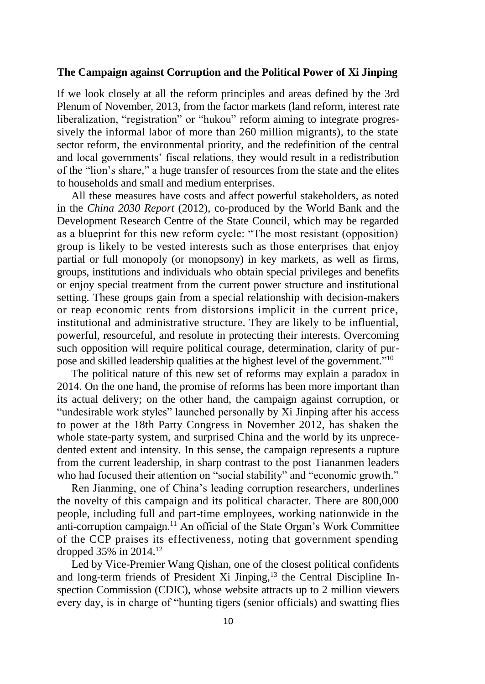### **The Campaign against Corruption and the Political Power of Xi Jinping**

If we look closely at all the reform principles and areas defined by the 3rd Plenum of November, 2013, from the factor markets (land reform, interest rate liberalization, "registration" or "hukou" reform aiming to integrate progressively the informal labor of more than 260 million migrants), to the state sector reform, the environmental priority, and the redefinition of the central and local governments' fiscal relations, they would result in a redistribution of the "lion's share," a huge transfer of resources from the state and the elites to households and small and medium enterprises.

All these measures have costs and affect powerful stakeholders, as noted in the *China 2030 Report* (2012), co-produced by the World Bank and the Development Research Centre of the State Council, which may be regarded as a blueprint for this new reform cycle: "The most resistant (opposition) group is likely to be vested interests such as those enterprises that enjoy partial or full monopoly (or monopsony) in key markets, as well as firms, groups, institutions and individuals who obtain special privileges and benefits or enjoy special treatment from the current power structure and institutional setting. These groups gain from a special relationship with decision-makers or reap economic rents from distorsions implicit in the current price, institutional and administrative structure. They are likely to be influential, powerful, resourceful, and resolute in protecting their interests. Overcoming such opposition will require political courage, determination, clarity of purpose and skilled leadership qualities at the highest level of the government."<sup>10</sup>

The political nature of this new set of reforms may explain a paradox in 2014. On the one hand, the promise of reforms has been more important than its actual delivery; on the other hand, the campaign against corruption, or "undesirable work styles" launched personally by Xi Jinping after his access to power at the 18th Party Congress in November 2012, has shaken the whole state-party system, and surprised China and the world by its unprecedented extent and intensity. In this sense, the campaign represents a rupture from the current leadership, in sharp contrast to the post Tiananmen leaders who had focused their attention on "social stability" and "economic growth."

Ren Jianming, one of China's leading corruption researchers, underlines the novelty of this campaign and its political character. There are 800,000 people, including full and part-time employees, working nationwide in the anti-corruption campaign.<sup>11</sup> An official of the State Organ's Work Committee of the CCP praises its effectiveness, noting that government spending dropped 35% in 2014.<sup>12</sup>

Led by Vice-Premier Wang Qishan, one of the closest political confidents and long-term friends of President Xi Jinping,<sup>13</sup> the Central Discipline Inspection Commission (CDIC), whose website attracts up to 2 million viewers every day, is in charge of "hunting tigers (senior officials) and swatting flies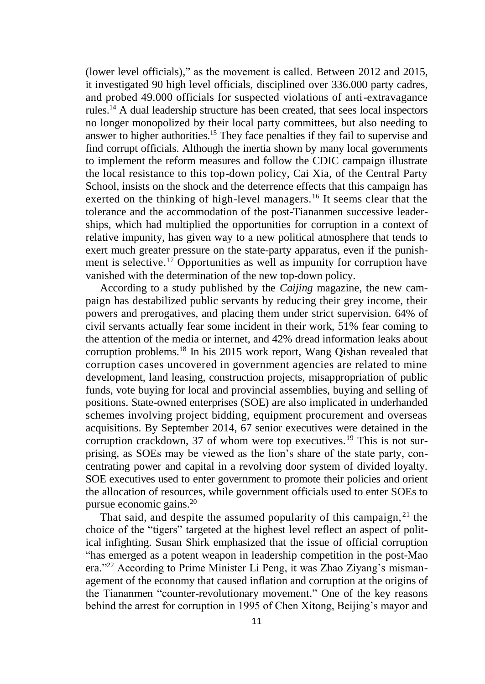(lower level officials)," as the movement is called. Between 2012 and 2015, it investigated 90 high level officials, disciplined over 336.000 party cadres, and probed 49.000 officials for suspected violations of anti-extravagance rules.<sup>14</sup> A dual leadership structure has been created, that sees local inspectors no longer monopolized by their local party committees, but also needing to answer to higher authorities.<sup>15</sup> They face penalties if they fail to supervise and find corrupt officials. Although the inertia shown by many local governments to implement the reform measures and follow the CDIC campaign illustrate the local resistance to this top-down policy, Cai Xia, of the Central Party School, insists on the shock and the deterrence effects that this campaign has exerted on the thinking of high-level managers.<sup>16</sup> It seems clear that the tolerance and the accommodation of the post-Tiananmen successive leaderships, which had multiplied the opportunities for corruption in a context of relative impunity, has given way to a new political atmosphere that tends to exert much greater pressure on the state-party apparatus, even if the punishment is selective.<sup>17</sup> Opportunities as well as impunity for corruption have vanished with the determination of the new top-down policy.

According to a study published by the *Caijing* magazine, the new campaign has destabilized public servants by reducing their grey income, their powers and prerogatives, and placing them under strict supervision. 64% of civil servants actually fear some incident in their work, 51% fear coming to the attention of the media or internet, and 42% dread information leaks about corruption problems.<sup>18</sup> In his 2015 work report, Wang Qishan revealed that corruption cases uncovered in government agencies are related to mine development, land leasing, construction projects, misappropriation of public funds, vote buying for local and provincial assemblies, buying and selling of positions. State-owned enterprises (SOE) are also implicated in underhanded schemes involving project bidding, equipment procurement and overseas acquisitions. By September 2014, 67 senior executives were detained in the corruption crackdown, 37 of whom were top executives.<sup>19</sup> This is not surprising, as SOEs may be viewed as the lion's share of the state party, concentrating power and capital in a revolving door system of divided loyalty. SOE executives used to enter government to promote their policies and orient the allocation of resources, while government officials used to enter SOEs to pursue economic gains. $20$ 

That said, and despite the assumed popularity of this campaign,  $21$  the choice of the "tigers" targeted at the highest level reflect an aspect of political infighting. Susan Shirk emphasized that the issue of official corruption "has emerged as a potent weapon in leadership competition in the post-Mao era." <sup>22</sup> According to Prime Minister Li Peng, it was Zhao Ziyang's mismanagement of the economy that caused inflation and corruption at the origins of the Tiananmen "counter-revolutionary movement." One of the key reasons behind the arrest for corruption in 1995 of Chen Xitong, Beijing's mayor and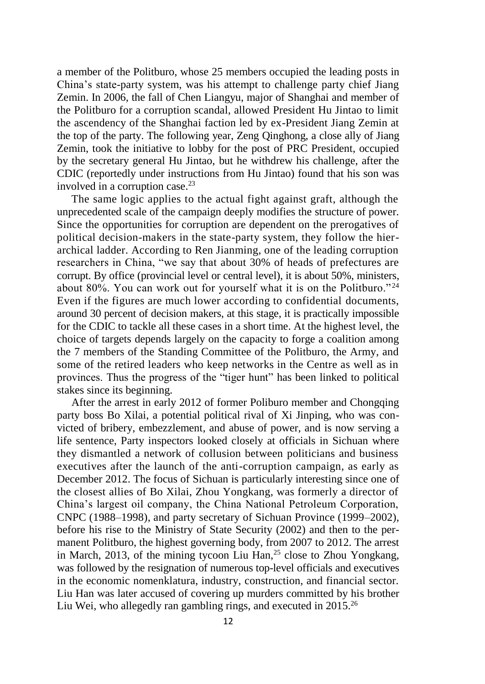a member of the Politburo, whose 25 members occupied the leading posts in China's state-party system, was his attempt to challenge party chief Jiang Zemin. In 2006, the fall of Chen Liangyu, major of Shanghai and member of the Politburo for a corruption scandal, allowed President Hu Jintao to limit the ascendency of the Shanghai faction led by ex-President Jiang Zemin at the top of the party. The following year, Zeng Qinghong, a close ally of Jiang Zemin, took the initiative to lobby for the post of PRC President, occupied by the secretary general Hu Jintao, but he withdrew his challenge, after the CDIC (reportedly under instructions from Hu Jintao) found that his son was involved in a corruption case.<sup>23</sup>

The same logic applies to the actual fight against graft, although the unprecedented scale of the campaign deeply modifies the structure of power. Since the opportunities for corruption are dependent on the prerogatives of political decision-makers in the state-party system, they follow the hierarchical ladder. According to Ren Jianming, one of the leading corruption researchers in China, "we say that about 30% of heads of prefectures are corrupt. By office (provincial level or central level), it is about 50%, ministers, about 80%. You can work out for yourself what it is on the Politburo." <sup>24</sup> Even if the figures are much lower according to confidential documents, around 30 percent of decision makers, at this stage, it is practically impossible for the CDIC to tackle all these cases in a short time. At the highest level, the choice of targets depends largely on the capacity to forge a coalition among the 7 members of the Standing Committee of the Politburo, the Army, and some of the retired leaders who keep networks in the Centre as well as in provinces. Thus the progress of the "tiger hunt" has been linked to political stakes since its beginning.

After the arrest in early 2012 of former Poliburo member and Chongqing party boss Bo Xilai, a potential political rival of Xi Jinping, who was convicted of bribery, embezzlement, and abuse of power, and is now serving a life sentence, Party inspectors looked closely at officials in Sichuan where they dismantled a network of collusion between politicians and business executives after the launch of the anti-corruption campaign, as early as December 2012. The focus of Sichuan is particularly interesting since one of the closest allies of Bo Xilai, Zhou Yongkang, was formerly a director of China's largest oil company, the China National Petroleum Corporation, CNPC (1988–1998), and party secretary of Sichuan Province (1999–2002), before his rise to the Ministry of State Security (2002) and then to the permanent Politburo, the highest governing body, from 2007 to 2012. The arrest in March, 2013, of the mining tycoon Liu Han,<sup>25</sup> close to Zhou Yongkang, was followed by the resignation of numerous top-level officials and executives in the economic nomenklatura, industry, construction, and financial sector. Liu Han was later accused of covering up murders committed by his brother Liu Wei, who allegedly ran gambling rings, and executed in 2015.<sup>26</sup>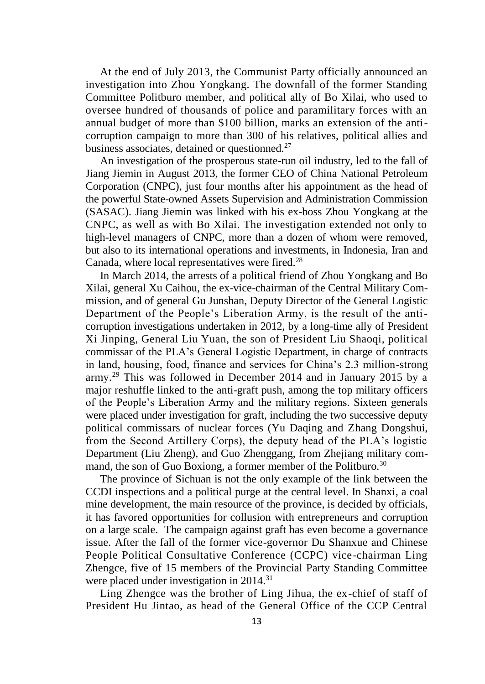At the end of July 2013, the Communist Party officially announced an investigation into Zhou Yongkang. The downfall of the former Standing Committee Politburo member, and political ally of Bo Xilai, who used to oversee hundred of thousands of police and paramilitary forces with an annual budget of more than \$100 billion, marks an extension of the anticorruption campaign to more than 300 of his relatives, political allies and business associates, detained or questionned.<sup>27</sup>

An investigation of the prosperous state-run oil industry, led to the fall of Jiang Jiemin in August 2013, the former CEO of China National Petroleum Corporation (CNPC), just four months after his appointment as the head of the powerful State-owned Assets Supervision and Administration Commission (SASAC). Jiang Jiemin was linked with his ex-boss Zhou Yongkang at the CNPC, as well as with Bo Xilai. The investigation extended not only to high-level managers of CNPC, more than a dozen of whom were removed, but also to its international operations and investments, in Indonesia, Iran and Canada, where local representatives were fired. $28$ 

In March 2014, the arrests of a political friend of Zhou Yongkang and Bo Xilai, general Xu Caihou, the ex-vice-chairman of the Central Military Commission, and of general Gu Junshan, Deputy Director of the General Logistic Department of the People's Liberation Army, is the result of the anticorruption investigations undertaken in 2012, by a long-time ally of President Xi Jinping, General Liu Yuan, the son of President Liu Shaoqi, political commissar of the PLA's General Logistic Department, in charge of contracts in land, housing, food, finance and services for China's 2.3 million-strong army.<sup>29</sup> This was followed in December 2014 and in January 2015 by a major reshuffle linked to the anti-graft push, among the top military officers of the People's Liberation Army and the military regions. Sixteen generals were placed under investigation for graft, including the two successive deputy political commissars of nuclear forces (Yu Daqing and Zhang Dongshui, from the Second Artillery Corps), the deputy head of the PLA's logistic Department (Liu Zheng), and Guo Zhenggang, from Zhejiang military command, the son of Guo Boxiong, a former member of the Politburo.<sup>30</sup>

The province of Sichuan is not the only example of the link between the CCDI inspections and a political purge at the central level. In Shanxi, a coal mine development, the main resource of the province, is decided by officials, it has favored opportunities for collusion with entrepreneurs and corruption on a large scale. The campaign against graft has even become a governance issue. After the fall of the former vice-governor Du Shanxue and Chinese People Political Consultative Conference (CCPC) vice-chairman Ling Zhengce, five of 15 members of the Provincial Party Standing Committee were placed under investigation in 2014.<sup>31</sup>

Ling Zhengce was the brother of Ling Jihua, the ex-chief of staff of President Hu Jintao, as head of the General Office of the CCP Central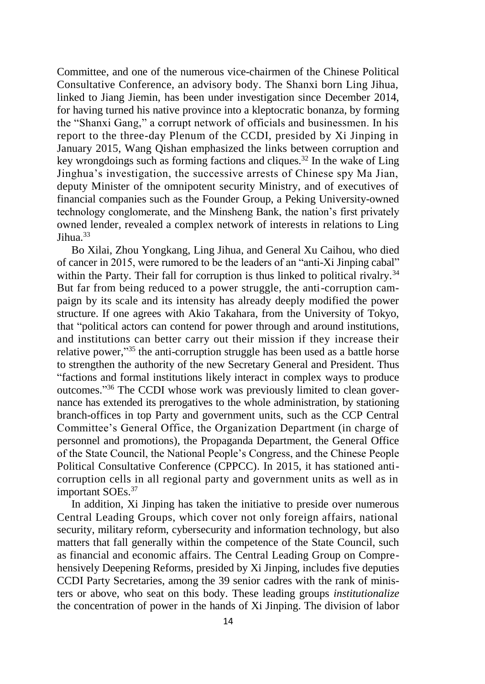Committee, and one of the numerous vice-chairmen of the Chinese Political Consultative Conference, an advisory body. The Shanxi born Ling Jihua, linked to Jiang Jiemin, has been under investigation since December 2014, for having turned his native province into a kleptocratic bonanza, by forming the "Shanxi Gang," a corrupt network of officials and businessmen. In his report to the three-day Plenum of the CCDI, presided by Xi Jinping in January 2015, Wang Qishan emphasized the links between corruption and key wrongdoings such as forming factions and cliques.<sup>32</sup> In the wake of Ling Jinghua's investigation, the successive arrests of Chinese spy Ma Jian, deputy Minister of the omnipotent security Ministry, and of executives of financial companies such as the Founder Group, a Peking University-owned technology conglomerate, and the Minsheng Bank, the nation's first privately owned lender, revealed a complex network of interests in relations to Ling Jihua.<sup>33</sup>

Bo Xilai, Zhou Yongkang, Ling Jihua, and General Xu Caihou, who died of cancer in 2015, were rumored to be the leaders of an "anti-Xi Jinping cabal" within the Party. Their fall for corruption is thus linked to political rivalry.<sup>34</sup> But far from being reduced to a power struggle, the anti-corruption campaign by its scale and its intensity has already deeply modified the power structure. If one agrees with Akio Takahara, from the University of Tokyo, that "political actors can contend for power through and around institutions, and institutions can better carry out their mission if they increase their relative power,"<sup>35</sup> the anti-corruption struggle has been used as a battle horse to strengthen the authority of the new Secretary General and President. Thus "factions and formal institutions likely interact in complex ways to produce outcomes." <sup>36</sup> The CCDI whose work was previously limited to clean governance has extended its prerogatives to the whole administration, by stationing branch-offices in top Party and government units, such as the CCP Central Committee's General Office, the Organization Department (in charge of personnel and promotions), the Propaganda Department, the General Office of the State Council, the National People's Congress, and the Chinese People Political Consultative Conference (CPPCC). In 2015, it has stationed anticorruption cells in all regional party and government units as well as in important SOEs.<sup>37</sup>

In addition, Xi Jinping has taken the initiative to preside over numerous Central Leading Groups, which cover not only foreign affairs, national security, military reform, cybersecurity and information technology, but also matters that fall generally within the competence of the State Council, such as financial and economic affairs. The Central Leading Group on Comprehensively Deepening Reforms, presided by Xi Jinping, includes five deputies CCDI Party Secretaries, among the 39 senior cadres with the rank of ministers or above, who seat on this body. These leading groups *institutionalize* the concentration of power in the hands of Xi Jinping. The division of labor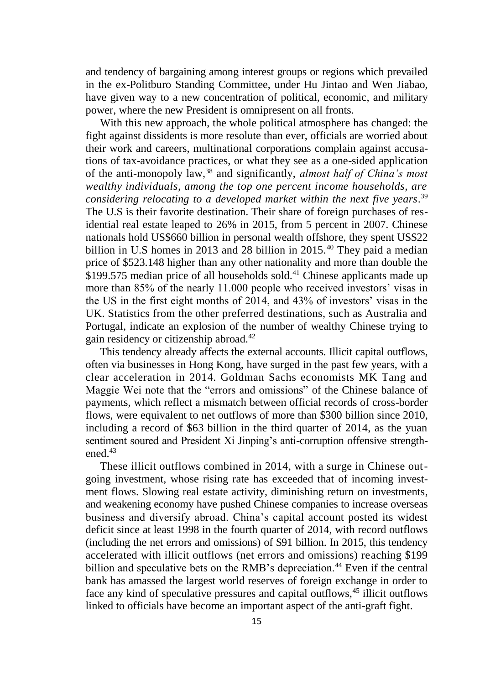and tendency of bargaining among interest groups or regions which prevailed in the ex-Politburo Standing Committee, under Hu Jintao and Wen Jiabao, have given way to a new concentration of political, economic, and military power, where the new President is omnipresent on all fronts.

With this new approach, the whole political atmosphere has changed: the fight against dissidents is more resolute than ever, officials are worried about their work and careers, multinational corporations complain against accusations of tax-avoidance practices, or what they see as a one-sided application of the anti-monopoly law,<sup>38</sup> and significantly, *almost half of China's most wealthy individuals, among the top one percent income households, are considering relocating to a developed market within the next five years*. 39 The U.S is their favorite destination. Their share of foreign purchases of residential real estate leaped to 26% in 2015, from 5 percent in 2007. Chinese nationals hold US\$660 billion in personal wealth offshore, they spent US\$22 billion in U.S homes in 2013 and 28 billion in 2015.<sup>40</sup> They paid a median price of \$523.148 higher than any other nationality and more than double the  $$199.575$  median price of all households sold.<sup>41</sup> Chinese applicants made up more than 85% of the nearly 11.000 people who received investors' visas in the US in the first eight months of 2014, and 43% of investors' visas in the UK. Statistics from the other preferred destinations, such as Australia and Portugal, indicate an explosion of the number of wealthy Chinese trying to gain residency or citizenship abroad.<sup>42</sup>

This tendency already affects the external accounts. Illicit capital outflows, often via businesses in Hong Kong, have surged in the past few years, with a clear acceleration in 2014. Goldman Sachs economists MK Tang and Maggie Wei note that the "errors and omissions" of the Chinese balance of payments, which reflect a mismatch between official records of cross-border flows, were equivalent to net outflows of more than \$300 billion since 2010, including a record of \$63 billion in the third quarter of 2014, as the yuan sentiment soured and President Xi Jinping's anti-corruption offensive strengthened.<sup>43</sup>

These illicit outflows combined in 2014, with a surge in Chinese outgoing investment, whose rising rate has exceeded that of incoming investment flows. Slowing real estate activity, diminishing return on investments, and weakening economy have pushed Chinese companies to increase overseas business and diversify abroad. China's capital account posted its widest deficit since at least 1998 in the fourth quarter of 2014, with record outflows (including the net errors and omissions) of \$91 billion. In 2015, this tendency accelerated with illicit outflows (net errors and omissions) reaching \$199 billion and speculative bets on the RMB's depreciation.<sup>44</sup> Even if the central bank has amassed the largest world reserves of foreign exchange in order to face any kind of speculative pressures and capital outflows,<sup>45</sup> illicit outflows linked to officials have become an important aspect of the anti-graft fight.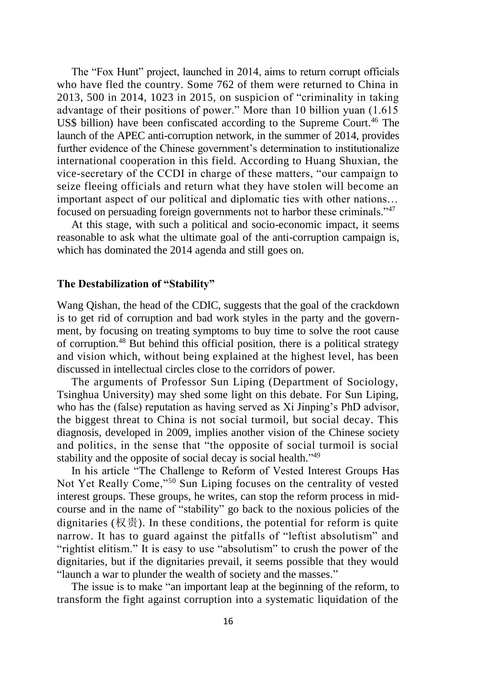The "Fox Hunt" project, launched in 2014, aims to return corrupt officials who have fled the country. Some 762 of them were returned to China in 2013, 500 in 2014, 1023 in 2015, on suspicion of "criminality in taking advantage of their positions of power." More than 10 billion yuan (1.615 US\$ billion) have been confiscated according to the Supreme Court.<sup>46</sup> The launch of the APEC anti-corruption network, in the summer of 2014, provides further evidence of the Chinese government's determination to institutionalize international cooperation in this field. According to Huang Shuxian, the vice-secretary of the CCDI in charge of these matters, "our campaign to seize fleeing officials and return what they have stolen will become an important aspect of our political and diplomatic ties with other nations… focused on persuading foreign governments not to harbor these criminals."<sup>47</sup>

At this stage, with such a political and socio-economic impact, it seems reasonable to ask what the ultimate goal of the anti-corruption campaign is, which has dominated the 2014 agenda and still goes on.

## **The Destabilization of "Stability"**

Wang Qishan, the head of the CDIC, suggests that the goal of the crackdown is to get rid of corruption and bad work styles in the party and the government, by focusing on treating symptoms to buy time to solve the root cause of corruption.<sup>48</sup> But behind this official position, there is a political strategy and vision which, without being explained at the highest level, has been discussed in intellectual circles close to the corridors of power.

The arguments of Professor Sun Liping (Department of Sociology, Tsinghua University) may shed some light on this debate. For Sun Liping, who has the (false) reputation as having served as Xi Jinping's PhD advisor, the biggest threat to China is not social turmoil, but social decay. This diagnosis, developed in 2009, implies another vision of the Chinese society and politics, in the sense that "the opposite of social turmoil is social stability and the opposite of social decay is social health."<sup>49</sup>

In his article "The Challenge to Reform of Vested Interest Groups Has Not Yet Really Come,"<sup>50</sup> Sun Liping focuses on the centrality of vested interest groups. These groups, he writes, can stop the reform process in midcourse and in the name of "stability" go back to the noxious policies of the dignitaries ( $\mathcal{R}\ddot{\oplus}$ ). In these conditions, the potential for reform is quite narrow. It has to guard against the pitfalls of "leftist absolutism" and "rightist elitism." It is easy to use "absolutism" to crush the power of the dignitaries, but if the dignitaries prevail, it seems possible that they would "launch a war to plunder the wealth of society and the masses."

The issue is to make "an important leap at the beginning of the reform, to transform the fight against corruption into a systematic liquidation of the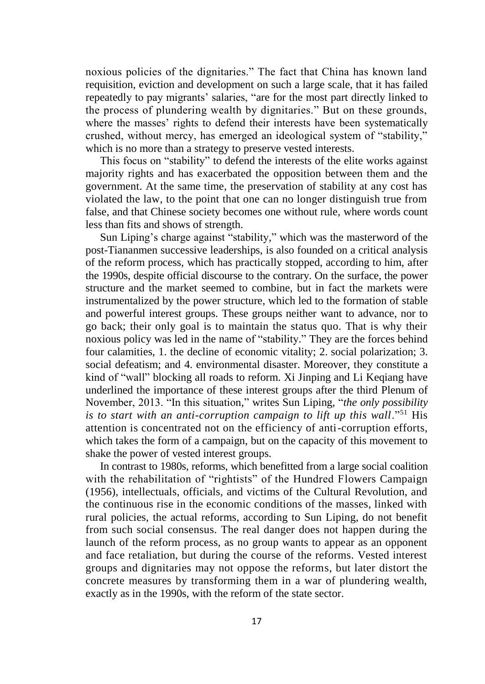noxious policies of the dignitaries." The fact that China has known land requisition, eviction and development on such a large scale, that it has failed repeatedly to pay migrants' salaries, "are for the most part directly linked to the process of plundering wealth by dignitaries." But on these grounds, where the masses' rights to defend their interests have been systematically crushed, without mercy, has emerged an ideological system of "stability," which is no more than a strategy to preserve vested interests.

This focus on "stability" to defend the interests of the elite works against majority rights and has exacerbated the opposition between them and the government. At the same time, the preservation of stability at any cost has violated the law, to the point that one can no longer distinguish true from false, and that Chinese society becomes one without rule, where words count less than fits and shows of strength.

Sun Liping's charge against "stability," which was the masterword of the post-Tiananmen successive leaderships, is also founded on a critical analysis of the reform process, which has practically stopped, according to him, after the 1990s, despite official discourse to the contrary. On the surface, the power structure and the market seemed to combine, but in fact the markets were instrumentalized by the power structure, which led to the formation of stable and powerful interest groups. These groups neither want to advance, nor to go back; their only goal is to maintain the status quo. That is why their noxious policy was led in the name of "stability." They are the forces behind four calamities, 1. the decline of economic vitality; 2. social polarization; 3. social defeatism; and 4. environmental disaster. Moreover, they constitute a kind of "wall" blocking all roads to reform. Xi Jinping and Li Keqiang have underlined the importance of these interest groups after the third Plenum of November, 2013. "In this situation," writes Sun Liping, "*the only possibility is to start with an anti-corruption campaign to lift up this wall*."<sup>51</sup> His attention is concentrated not on the efficiency of anti-corruption efforts, which takes the form of a campaign, but on the capacity of this movement to shake the power of vested interest groups.

In contrast to 1980s, reforms, which benefitted from a large social coalition with the rehabilitation of "rightists" of the Hundred Flowers Campaign (1956), intellectuals, officials, and victims of the Cultural Revolution, and the continuous rise in the economic conditions of the masses, linked with rural policies, the actual reforms, according to Sun Liping, do not benefit from such social consensus. The real danger does not happen during the launch of the reform process, as no group wants to appear as an opponent and face retaliation, but during the course of the reforms. Vested interest groups and dignitaries may not oppose the reforms, but later distort the concrete measures by transforming them in a war of plundering wealth, exactly as in the 1990s, with the reform of the state sector.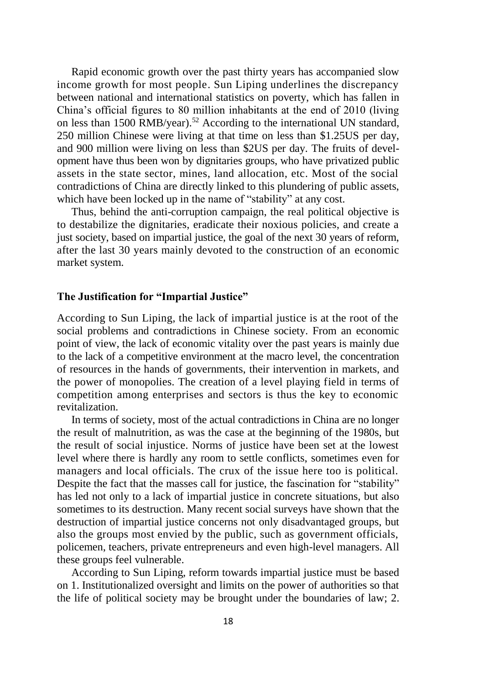Rapid economic growth over the past thirty years has accompanied slow income growth for most people. Sun Liping underlines the discrepancy between national and international statistics on poverty, which has fallen in China's official figures to 80 million inhabitants at the end of 2010 (living on less than 1500 RMB/year).<sup>52</sup> According to the international UN standard, 250 million Chinese were living at that time on less than \$1.25US per day, and 900 million were living on less than \$2US per day. The fruits of development have thus been won by dignitaries groups, who have privatized public assets in the state sector, mines, land allocation, etc. Most of the social contradictions of China are directly linked to this plundering of public assets, which have been locked up in the name of "stability" at any cost.

Thus, behind the anti-corruption campaign, the real political objective is to destabilize the dignitaries, eradicate their noxious policies, and create a just society, based on impartial justice, the goal of the next 30 years of reform, after the last 30 years mainly devoted to the construction of an economic market system.

## **The Justification for "Impartial Justice"**

According to Sun Liping, the lack of impartial justice is at the root of the social problems and contradictions in Chinese society. From an economic point of view, the lack of economic vitality over the past years is mainly due to the lack of a competitive environment at the macro level, the concentration of resources in the hands of governments, their intervention in markets, and the power of monopolies. The creation of a level playing field in terms of competition among enterprises and sectors is thus the key to economic revitalization.

In terms of society, most of the actual contradictions in China are no longer the result of malnutrition, as was the case at the beginning of the 1980s, but the result of social injustice. Norms of justice have been set at the lowest level where there is hardly any room to settle conflicts, sometimes even for managers and local officials. The crux of the issue here too is political. Despite the fact that the masses call for justice, the fascination for "stability" has led not only to a lack of impartial justice in concrete situations, but also sometimes to its destruction. Many recent social surveys have shown that the destruction of impartial justice concerns not only disadvantaged groups, but also the groups most envied by the public, such as government officials, policemen, teachers, private entrepreneurs and even high-level managers. All these groups feel vulnerable.

According to Sun Liping, reform towards impartial justice must be based on 1. Institutionalized oversight and limits on the power of authorities so that the life of political society may be brought under the boundaries of law; 2.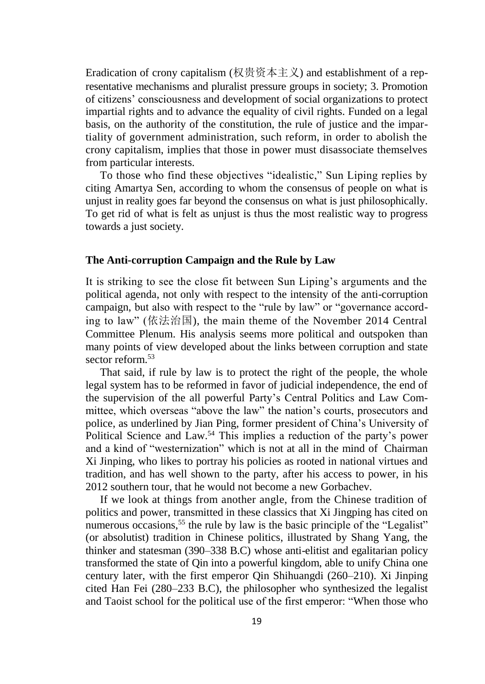Eradication of crony capitalism (权贵资本主义) and establishment of a representative mechanisms and pluralist pressure groups in society; 3. Promotion of citizens' consciousness and development of social organizations to protect impartial rights and to advance the equality of civil rights. Funded on a legal basis, on the authority of the constitution, the rule of justice and the impartiality of government administration, such reform, in order to abolish the crony capitalism, implies that those in power must disassociate themselves from particular interests.

To those who find these objectives "idealistic," Sun Liping replies by citing Amartya Sen, according to whom the consensus of people on what is unjust in reality goes far beyond the consensus on what is just philosophically. To get rid of what is felt as unjust is thus the most realistic way to progress towards a just society.

## **The Anti-corruption Campaign and the Rule by Law**

It is striking to see the close fit between Sun Liping's arguments and the political agenda, not only with respect to the intensity of the anti-corruption campaign, but also with respect to the "rule by law" or "governance according to law" (依法治国), the main theme of the November 2014 Central Committee Plenum. His analysis seems more political and outspoken than many points of view developed about the links between corruption and state sector reform  $53$ 

That said, if rule by law is to protect the right of the people, the whole legal system has to be reformed in favor of judicial independence, the end of the supervision of the all powerful Party's Central Politics and Law Committee, which overseas "above the law" the nation's courts, prosecutors and police, as underlined by Jian Ping, former president of China's University of Political Science and Law.<sup>54</sup> This implies a reduction of the party's power and a kind of "westernization" which is not at all in the mind of Chairman Xi Jinping, who likes to portray his policies as rooted in national virtues and tradition, and has well shown to the party, after his access to power, in his 2012 southern tour, that he would not become a new Gorbachev.

If we look at things from another angle, from the Chinese tradition of politics and power, transmitted in these classics that Xi Jingping has cited on numerous occasions,<sup>55</sup> the rule by law is the basic principle of the "Legalist" (or absolutist) tradition in Chinese politics, illustrated by Shang Yang, the thinker and statesman (390–338 B.C) whose anti-elitist and egalitarian policy transformed the state of Qin into a powerful kingdom, able to unify China one century later, with the first emperor Qin Shihuangdi (260–210). Xi Jinping cited Han Fei (280–233 B.C), the philosopher who synthesized the legalist and Taoist school for the political use of the first emperor: "When those who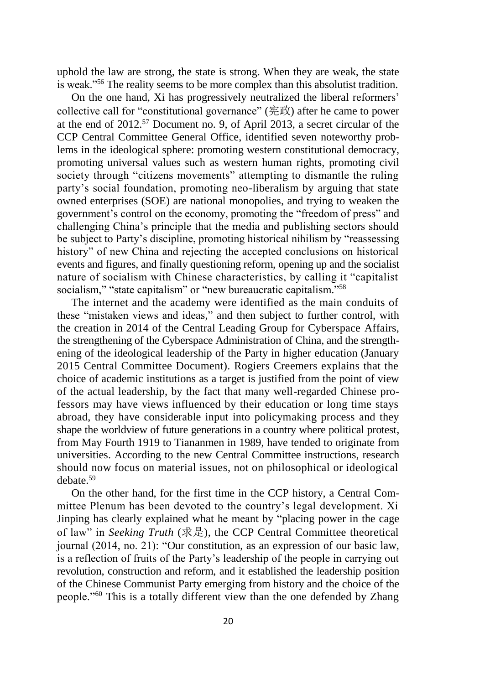uphold the law are strong, the state is strong. When they are weak, the state is weak."<sup>56</sup> The reality seems to be more complex than this absolutist tradition.

On the one hand, Xi has progressively neutralized the liberal reformers' collective call for "constitutional governance" (宪政) after he came to power at the end of 2012.<sup>57</sup> Document no. 9, of April 2013, a secret circular of the CCP Central Committee General Office, identified seven noteworthy problems in the ideological sphere: promoting western constitutional democracy, promoting universal values such as western human rights, promoting civil society through "citizens movements" attempting to dismantle the ruling party's social foundation, promoting neo-liberalism by arguing that state owned enterprises (SOE) are national monopolies, and trying to weaken the government's control on the economy, promoting the "freedom of press" and challenging China's principle that the media and publishing sectors should be subject to Party's discipline, promoting historical nihilism by "reassessing history" of new China and rejecting the accepted conclusions on historical events and figures, and finally questioning reform, opening up and the socialist nature of socialism with Chinese characteristics, by calling it "capitalist socialism," "state capitalism" or "new bureaucratic capitalism."<sup>58</sup>

The internet and the academy were identified as the main conduits of these "mistaken views and ideas," and then subject to further control, with the creation in 2014 of the Central Leading Group for Cyberspace Affairs, the strengthening of the Cyberspace Administration of China, and the strengthening of the ideological leadership of the Party in higher education (January 2015 Central Committee Document). Rogiers Creemers explains that the choice of academic institutions as a target is justified from the point of view of the actual leadership, by the fact that many well-regarded Chinese professors may have views influenced by their education or long time stays abroad, they have considerable input into policymaking process and they shape the worldview of future generations in a country where political protest, from May Fourth 1919 to Tiananmen in 1989, have tended to originate from universities. According to the new Central Committee instructions, research should now focus on material issues, not on philosophical or ideological debate.<sup>59</sup>

On the other hand, for the first time in the CCP history, a Central Committee Plenum has been devoted to the country's legal development. Xi Jinping has clearly explained what he meant by "placing power in the cage of law" in *Seeking Truth* (求是), the CCP Central Committee theoretical journal (2014, no. 21): "Our constitution, as an expression of our basic law, is a reflection of fruits of the Party's leadership of the people in carrying out revolution, construction and reform, and it established the leadership position of the Chinese Communist Party emerging from history and the choice of the people."<sup>60</sup> This is a totally different view than the one defended by Zhang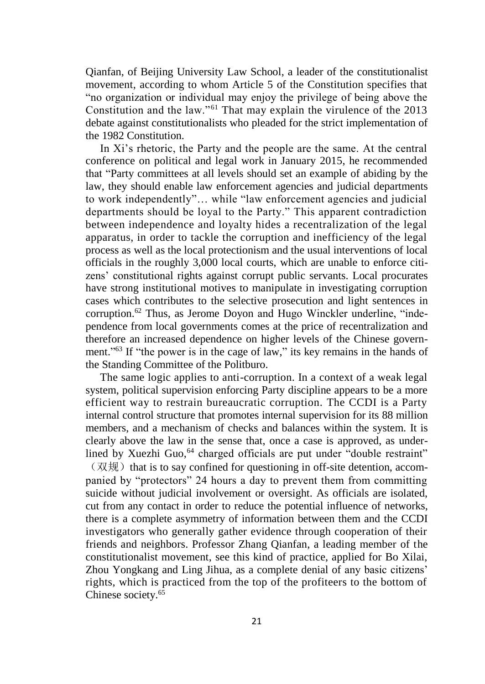Qianfan, of Beijing University Law School, a leader of the constitutionalist movement, according to whom Article 5 of the Constitution specifies that "no organization or individual may enjoy the privilege of being above the Constitution and the law."<sup>61</sup> That may explain the virulence of the 2013 debate against constitutionalists who pleaded for the strict implementation of the 1982 Constitution.

In Xi's rhetoric, the Party and the people are the same. At the central conference on political and legal work in January 2015, he recommended that "Party committees at all levels should set an example of abiding by the law, they should enable law enforcement agencies and judicial departments to work independently"… while "law enforcement agencies and judicial departments should be loyal to the Party." This apparent contradiction between independence and loyalty hides a recentralization of the legal apparatus, in order to tackle the corruption and inefficiency of the legal process as well as the local protectionism and the usual interventions of local officials in the roughly 3,000 local courts, which are unable to enforce citizens' constitutional rights against corrupt public servants. Local procurates have strong institutional motives to manipulate in investigating corruption cases which contributes to the selective prosecution and light sentences in corruption.<sup>62</sup> Thus, as Jerome Doyon and Hugo Winckler underline, "independence from local governments comes at the price of recentralization and therefore an increased dependence on higher levels of the Chinese government." <sup>63</sup> If "the power is in the cage of law," its key remains in the hands of the Standing Committee of the Politburo.

The same logic applies to anti-corruption. In a context of a weak legal system, political supervision enforcing Party discipline appears to be a more efficient way to restrain bureaucratic corruption. The CCDI is a Party internal control structure that promotes internal supervision for its 88 million members, and a mechanism of checks and balances within the system. It is clearly above the law in the sense that, once a case is approved, as underlined by Xuezhi Guo,<sup>64</sup> charged officials are put under "double restraint"

 $(\overline{X}, \overline{X})$  that is to say confined for questioning in off-site detention, accompanied by "protectors" 24 hours a day to prevent them from committing suicide without judicial involvement or oversight. As officials are isolated, cut from any contact in order to reduce the potential influence of networks, there is a complete asymmetry of information between them and the CCDI investigators who generally gather evidence through cooperation of their friends and neighbors. Professor Zhang Qianfan, a leading member of the constitutionalist movement, see this kind of practice, applied for Bo Xilai, Zhou Yongkang and Ling Jihua, as a complete denial of any basic citizens' rights, which is practiced from the top of the profiteers to the bottom of Chinese society.<sup>65</sup>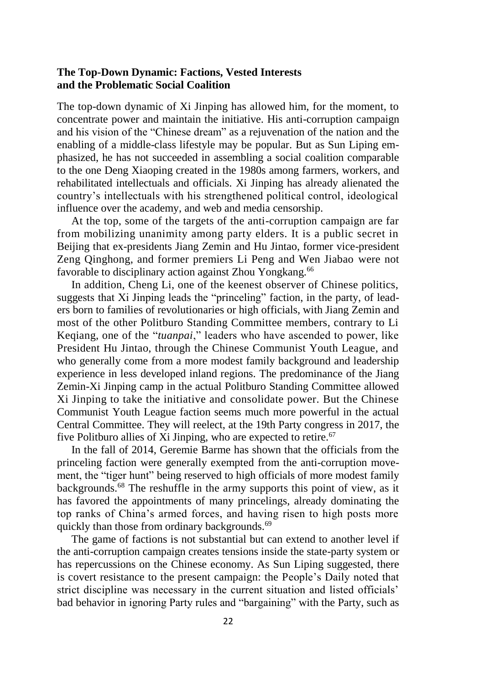## **The Top-Down Dynamic: Factions, Vested Interests and the Problematic Social Coalition**

The top-down dynamic of Xi Jinping has allowed him, for the moment, to concentrate power and maintain the initiative. His anti-corruption campaign and his vision of the "Chinese dream" as a rejuvenation of the nation and the enabling of a middle-class lifestyle may be popular. But as Sun Liping emphasized, he has not succeeded in assembling a social coalition comparable to the one Deng Xiaoping created in the 1980s among farmers, workers, and rehabilitated intellectuals and officials. Xi Jinping has already alienated the country's intellectuals with his strengthened political control, ideological influence over the academy, and web and media censorship.

At the top, some of the targets of the anti-corruption campaign are far from mobilizing unanimity among party elders. It is a public secret in Beijing that ex-presidents Jiang Zemin and Hu Jintao, former vice-president Zeng Qinghong, and former premiers Li Peng and Wen Jiabao were not favorable to disciplinary action against Zhou Yongkang.<sup>66</sup>

In addition, Cheng Li, one of the keenest observer of Chinese politics, suggests that Xi Jinping leads the "princeling" faction, in the party, of leaders born to families of revolutionaries or high officials, with Jiang Zemin and most of the other Politburo Standing Committee members, contrary to Li Keqiang, one of the "*tuanpai*," leaders who have ascended to power, like President Hu Jintao, through the Chinese Communist Youth League, and who generally come from a more modest family background and leadership experience in less developed inland regions. The predominance of the Jiang Zemin-Xi Jinping camp in the actual Politburo Standing Committee allowed Xi Jinping to take the initiative and consolidate power. But the Chinese Communist Youth League faction seems much more powerful in the actual Central Committee. They will reelect, at the 19th Party congress in 2017, the five Politburo allies of Xi Jinping, who are expected to retire.<sup>67</sup>

In the fall of 2014, Geremie Barme has shown that the officials from the princeling faction were generally exempted from the anti-corruption movement, the "tiger hunt" being reserved to high officials of more modest family backgrounds.<sup>68</sup> The reshuffle in the army supports this point of view, as it has favored the appointments of many princelings, already dominating the top ranks of China's armed forces, and having risen to high posts more quickly than those from ordinary backgrounds.<sup>69</sup>

The game of factions is not substantial but can extend to another level if the anti-corruption campaign creates tensions inside the state-party system or has repercussions on the Chinese economy. As Sun Liping suggested, there is covert resistance to the present campaign: the People's Daily noted that strict discipline was necessary in the current situation and listed officials' bad behavior in ignoring Party rules and "bargaining" with the Party, such as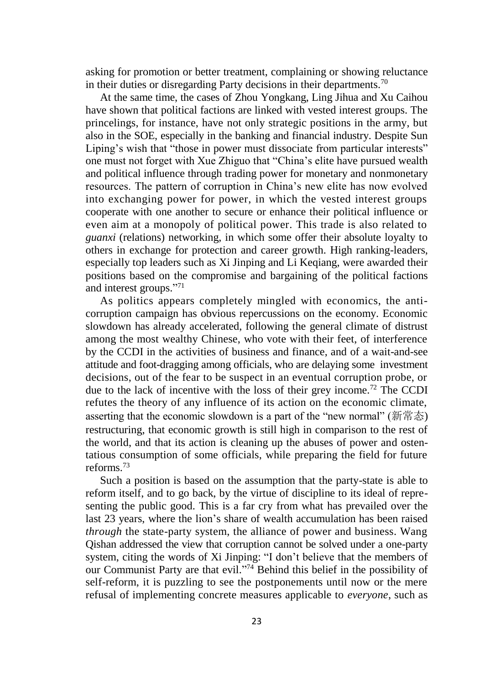asking for promotion or better treatment, complaining or showing reluctance in their duties or disregarding Party decisions in their departments.<sup>70</sup>

At the same time, the cases of Zhou Yongkang, Ling Jihua and Xu Caihou have shown that political factions are linked with vested interest groups. The princelings, for instance, have not only strategic positions in the army, but also in the SOE, especially in the banking and financial industry. Despite Sun Liping's wish that "those in power must dissociate from particular interests" one must not forget with Xue Zhiguo that "China's elite have pursued wealth and political influence through trading power for monetary and nonmonetary resources. The pattern of corruption in China's new elite has now evolved into exchanging power for power, in which the vested interest groups cooperate with one another to secure or enhance their political influence or even aim at a monopoly of political power. This trade is also related to *guanxi* (relations) networking, in which some offer their absolute loyalty to others in exchange for protection and career growth. High ranking-leaders, especially top leaders such as Xi Jinping and Li Keqiang, were awarded their positions based on the compromise and bargaining of the political factions and interest groups." 71

As politics appears completely mingled with economics, the anticorruption campaign has obvious repercussions on the economy. Economic slowdown has already accelerated, following the general climate of distrust among the most wealthy Chinese, who vote with their feet, of interference by the CCDI in the activities of business and finance, and of a wait-and-see attitude and foot-dragging among officials, who are delaying some investment decisions, out of the fear to be suspect in an eventual corruption probe, or due to the lack of incentive with the loss of their grey income.<sup>72</sup> The CCDI refutes the theory of any influence of its action on the economic climate, asserting that the economic slowdown is a part of the "new normal" (新常态) restructuring, that economic growth is still high in comparison to the rest of the world, and that its action is cleaning up the abuses of power and ostentatious consumption of some officials, while preparing the field for future reforms.<sup>73</sup>

Such a position is based on the assumption that the party-state is able to reform itself, and to go back, by the virtue of discipline to its ideal of representing the public good. This is a far cry from what has prevailed over the last 23 years, where the lion's share of wealth accumulation has been raised *through* the state-party system, the alliance of power and business. Wang Qishan addressed the view that corruption cannot be solved under a one-party system, citing the words of Xi Jinping: "I don't believe that the members of our Communist Party are that evil." <sup>74</sup> Behind this belief in the possibility of self-reform, it is puzzling to see the postponements until now or the mere refusal of implementing concrete measures applicable to *everyone*, such as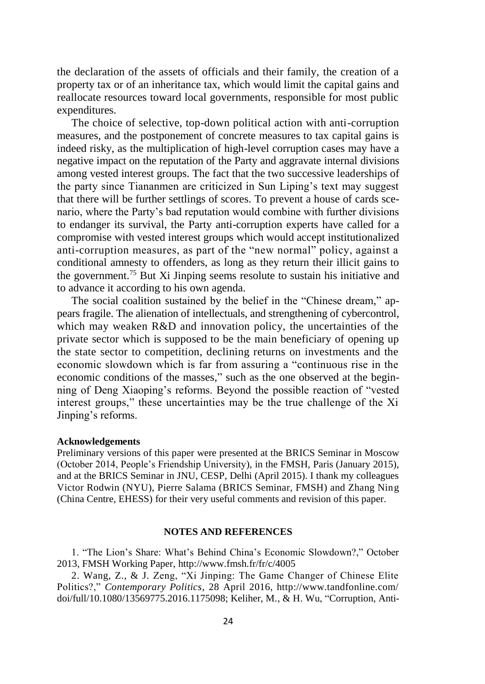the declaration of the assets of officials and their family, the creation of a property tax or of an inheritance tax, which would limit the capital gains and reallocate resources toward local governments, responsible for most public expenditures.

The choice of selective, top-down political action with anti-corruption measures, and the postponement of concrete measures to tax capital gains is indeed risky, as the multiplication of high-level corruption cases may have a negative impact on the reputation of the Party and aggravate internal divisions among vested interest groups. The fact that the two successive leaderships of the party since Tiananmen are criticized in Sun Liping's text may suggest that there will be further settlings of scores. To prevent a house of cards scenario, where the Party's bad reputation would combine with further divisions to endanger its survival, the Party anti-corruption experts have called for a compromise with vested interest groups which would accept institutionalized anti-corruption measures, as part of the "new normal" policy, against a conditional amnesty to offenders, as long as they return their illicit gains to the government.<sup>75</sup> But Xi Jinping seems resolute to sustain his initiative and to advance it according to his own agenda.

The social coalition sustained by the belief in the "Chinese dream," appears fragile. The alienation of intellectuals, and strengthening of cybercontrol, which may weaken R&D and innovation policy, the uncertainties of the private sector which is supposed to be the main beneficiary of opening up the state sector to competition, declining returns on investments and the economic slowdown which is far from assuring a "continuous rise in the economic conditions of the masses," such as the one observed at the beginning of Deng Xiaoping's reforms. Beyond the possible reaction of "vested interest groups," these uncertainties may be the true challenge of the Xi Jinping's reforms.

#### **Acknowledgements**

Preliminary versions of this paper were presented at the BRICS Seminar in Moscow (October 2014, People's Friendship University), in the FMSH, Paris (January 2015), and at the BRICS Seminar in JNU, CESP, Delhi (April 2015). I thank my colleagues Victor Rodwin (NYU), Pierre Salama (BRICS Seminar, FMSH) and Zhang Ning (China Centre, EHESS) for their very useful comments and revision of this paper.

#### **NOTES AND REFERENCES**

1. "The Lion's Share: What's Behind China's Economic Slowdown?," October 2013, FMSH Working Paper,<http://www.fmsh.fr/fr/c/4005>

2. Wang, Z., & J. Zeng, "Xi Jinping: The Game Changer of Chinese Elite Politics?," *Contemporary Politics*, 28 April 2016, http://www.tandfonline.com/ doi/full/10.1080/13569775.2016.1175098; Keliher, M., & H. Wu, "Corruption, Anti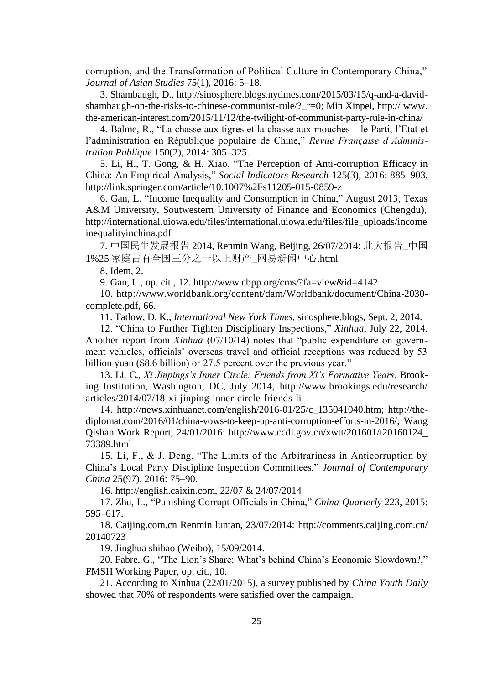corruption, and the Transformation of Political Culture in Contemporary China," *Journal of Asian Studies* 75(1), 2016: 5–18.

3. Shambaugh, D., [http://sinosphere.blogs.nytimes.com/2015/03/15/q-and-a-david](http://sinosphere.blogs.nytimes.com/2015/03/15/q-and-a-david-shambaugh-on-the-risks-to-chinese-communist-rule/?_r=0)shambaugh-on-the-risks-to-chinese-communist-rule/?  $r=0$ ; Min Xinpei, http:// www. the-american-interest.com/2015/11/12/the-twilight-of-communist-party-rule-in-china/

4. Balme, R., "La chasse aux tigres et la chasse aux mouches – le Parti, l'Etat et l'administration en République populaire de Chine," *Revue Française d'Administration Publique* 150(2), 2014: 305–325.

5. Li, H., T. Gong, & H. Xiao, "The Perception of Anti-corruption Efficacy in China: An Empirical Analysis," *Social Indicators Research* 125(3), 2016: 885–903. <http://link.springer.com/article/10.1007%2Fs11205-015-0859-z>

6. Gan, L. "Income Inequality and Consumption in China," August 2013, Texas A&M University, Soutwestern University of Finance and Economics (Chengdu), [http://international.uiowa.edu/files/international.uiowa.edu/files/file\\_uploads/income](http://international.uiowa.edu/files/international.uiowa.edu/files/file_uploads/incomeinequalityinchina.pdf) [inequalityinchina.pdf](http://international.uiowa.edu/files/international.uiowa.edu/files/file_uploads/incomeinequalityinchina.pdf)

7. 中国民生发展报告 2014, Renmin Wang, Beijing, 26/07/2014: 北大报告\_中国 1%25 家庭占有全国三分之一以上财产\_网易新闻中心.html

8. Idem, 2.

9. Gan, L., op. cit., 12.<http://www.cbpp.org/cms/?fa=view&id=4142>

10. [http://www.worldbank.org/content/dam/Worldbank/document/China-2030](http://www.worldbank.org/content/dam/Worldbank/document/China-2030-complete.pdf) [complete.pdf,](http://www.worldbank.org/content/dam/Worldbank/document/China-2030-complete.pdf) 66.

11. Tatlow, D. K., *International New York Times,* sinosphere.blogs, Sept. 2, 2014.

12. "China to Further Tighten Disciplinary Inspections," *Xinhua*, July 22, 2014. Another report from *Xinhua* (07/10/14) notes that "public expenditure on government vehicles, officials' overseas travel and official receptions was reduced by 53 billion yuan (\$8.6 billion) or 27.5 percent over the previous year."

13. Li, C., *Xi Jinpings's Inner Circle: Friends from Xi's Formative Years*, Brooking Institution, Washington, DC, July 2014, [http://www.brookings.edu/research/](http://www.brookings.edu/research/articles/2014/07/18-xi-jinping-inner-circle-friends-li)  [articles/2014/07/18-xi-jinping-inner-circle-friends-li](http://www.brookings.edu/research/articles/2014/07/18-xi-jinping-inner-circle-friends-li)

14. [http://news.xinhuanet.com/english/2016-01/25/c\\_135041040.htm;](http://news.xinhuanet.com/english/2016-01/25/c_135041040.htm) http://thediplomat.com/2016/01/china-vows-to-keep-up-anti-corruption-efforts-in-2016/; Wang Qishan Work Report, 24/01/2016: [http://www.ccdi.gov.cn/xwtt/201601/t20160124\\_](http://www.ccdi.gov.cn/xwtt/201601/t20160124_73389.html) [73389.html](http://www.ccdi.gov.cn/xwtt/201601/t20160124_73389.html)

15. Li, F., & J. Deng, "The Limits of the Arbitrariness in Anticorruption by China's Local Party Discipline Inspection Committees," *Journal of Contemporary China* 25(97), 2016: 75–90.

16. http://english.caixin.com, 22/07 & 24/07/2014

17. Zhu, L., "Punishing Corrupt Officials in China," *China Quarterly* 223, 2015: 595–617.

18. Caijing.com.cn Renmin luntan, 23/07/2014: [http://comments.caijing.com.cn/](http://comments.caijing.com.cn/20140723) [20140723](http://comments.caijing.com.cn/20140723)

19. Jinghua shibao (Weibo), 15/09/2014.

20. Fabre, G., "The Lion's Share: What's behind China's Economic Slowdown?," FMSH Working Paper, op. cit., 10.

21. According to Xinhua (22/01/2015), a survey published by *China Youth Daily* showed that 70% of respondents were satisfied over the campaign.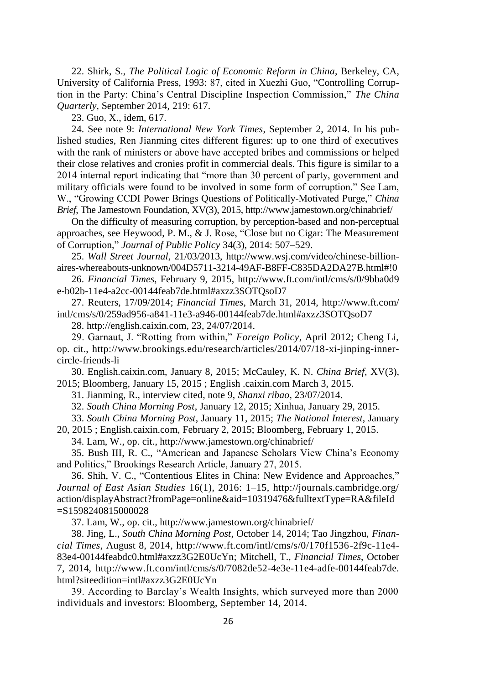22. Shirk, S., *The Political Logic of Economic Reform in China*, Berkeley, CA, University of California Press, 1993: 87, cited in Xuezhi Guo, "Controlling Corruption in the Party: China's Central Discipline Inspection Commission," *The China Quarterly*, September 2014, 219: 617.

23. Guo, X., idem, 617.

24. See note 9: *International New York Times*, September 2, 2014. In his published studies, Ren Jianming cites different figures: up to one third of executives with the rank of ministers or above have accepted bribes and commissions or helped their close relatives and cronies profit in commercial deals. This figure is similar to a 2014 internal report indicating that "more than 30 percent of party, government and military officials were found to be involved in some form of corruption." See Lam, W., "Growing CCDI Power Brings Questions of Politically-Motivated Purge," *China Brief*, The Jamestown Foundation, XV(3), 2015,<http://www.jamestown.org/chinabrief/>

On the difficulty of measuring corruption, by perception-based and non-perceptual approaches, see Heywood, P. M., & J. Rose, "Close but no Cigar: The Measurement of Corruption," *Journal of Public Policy* 34(3), 2014: 507–529.

25. *Wall Street Journal*, 21/03/2013, [http://www.wsj.com/video/chinese-billion](http://www.wsj.com/video/chinese-billionaires-whereabouts-unknown/004D5711-3214-49AF-B8FF-C835DA2DA27B.html#!0)[aires-whereabouts-unknown/004D5711-3214-49AF-B8FF-C835DA2DA27B.html#!0](http://www.wsj.com/video/chinese-billionaires-whereabouts-unknown/004D5711-3214-49AF-B8FF-C835DA2DA27B.html#!0)

26. *Financial Times*, February 9, 2015, [http://www.ft.com/intl/cms/s/0/9bba0d9](http://www.ft.com/intl/cms/s/0/9bba0d9e-b02b-11e4-a2cc-00144feab7de.html#axzz3SOTQsoD7) [e-b02b-11e4-a2cc-00144feab7de.html#axzz3SOTQsoD7](http://www.ft.com/intl/cms/s/0/9bba0d9e-b02b-11e4-a2cc-00144feab7de.html#axzz3SOTQsoD7)

27. Reuters, 17/09/2014; *Financial Times*, March 31, 2014, [http://www.ft.com/](http://www.ft.com/intl/cms/s/0/259ad956-a841-11e3-a946-00144feab7de.html#axzz3SOTQsoD7) [intl/cms/s/0/259ad956-a841-11e3-a946-00144feab7de.html#axzz3SOTQsoD7](http://www.ft.com/intl/cms/s/0/259ad956-a841-11e3-a946-00144feab7de.html#axzz3SOTQsoD7)

28. [http://english.caixin.com,](http://english.caixin.com/) 23, 24/07/2014.

29. Garnaut, J. "Rotting from within," *Foreign Policy*, April 2012; Cheng Li, op. cit., [http://www.brookings.edu/research/articles/2014/07/18-xi-jinping-inner](http://www.brookings.edu/research/articles/2014/07/18-xi-jinping-inner-circle-friends-li)[circle-friends-li](http://www.brookings.edu/research/articles/2014/07/18-xi-jinping-inner-circle-friends-li)

30. English.caixin.com, January 8, 2015; McCauley, K. N. *China Brief*, XV(3), 2015; Bloomberg, January 15, 2015 ; English .caixin.com March 3, 2015.

31. Jianming, R., interview cited, note 9, *Shanxi ribao*, 23/07/2014.

32. *South China Morning Post*, January 12, 2015; Xinhua, January 29, 2015.

33. *South China Morning Post*, January 11, 2015; *The National Interest*, January

20, 2015 ; English.caixin.com, February 2, 2015; Bloomberg, February 1, 2015.

34. Lam, W., op. cit., <http://www.jamestown.org/chinabrief/>

35. Bush III, R. C., "American and Japanese Scholars View China's Economy and Politics," Brookings Research Article, January 27, 2015.

36. Shih, V. C., "Contentious Elites in China: New Evidence and Approaches," *Journal of East Asian Studies* 16(1), 2016: 1–15, [http://journals.cambridge.org/](http://journals.cambridge.org/action/displayAbstract?fromPage=online&aid=10319476&fulltextType=RA&fileId=S1598240815000028)  [action/displayAbstract?fromPage=online&aid=10319476&fulltextType=RA&fileId](http://journals.cambridge.org/action/displayAbstract?fromPage=online&aid=10319476&fulltextType=RA&fileId=S1598240815000028) [=S1598240815000028](http://journals.cambridge.org/action/displayAbstract?fromPage=online&aid=10319476&fulltextType=RA&fileId=S1598240815000028)

37. Lam, W., op. cit.,<http://www.jamestown.org/chinabrief/>

38. Jing, L., *South China Morning Post*, October 14, 2014; Tao Jingzhou, *Financial Times*, August 8, 2014, [http://www.ft.com/intl/cms/s/0/170f1536-2f9c-11e4-](http://www.ft.com/intl/cms/s/0/170f1536-2f9c-11e4-83e4-00144feabdc0.html#axzz3G2E0UcYn) [83e4-00144feabdc0.html#axzz3G2E0UcYn;](http://www.ft.com/intl/cms/s/0/170f1536-2f9c-11e4-83e4-00144feabdc0.html#axzz3G2E0UcYn) Mitchell, T., *Financial Times*, October 7, 2014, [http://www.ft.com/intl/cms/s/0/7082de52-4e3e-11e4-adfe-00144feab7de.](http://www.ft.com/intl/cms/s/0/7082de52-4e3e-11e4-adfe-00144feab7de.html?siteedition=intl#axzz3G2E0UcYn)  [html?siteedition=intl#axzz3G2E0UcYn](http://www.ft.com/intl/cms/s/0/7082de52-4e3e-11e4-adfe-00144feab7de.html?siteedition=intl#axzz3G2E0UcYn)

39. According to Barclay's Wealth Insights, which surveyed more than 2000 individuals and investors: Bloomberg, September 14, 2014.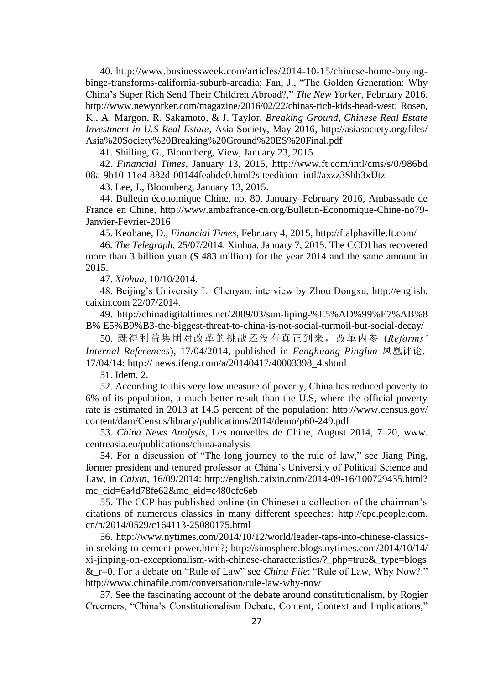40. [http://www.businessweek.com/articles/2014-10-15/chinese-home-buying](http://www.businessweek.com/articles/2014-10-15/chinese-home-buying-binge-transforms-california-suburb-arcadia)[binge-transforms-california-suburb-arcadia;](http://www.businessweek.com/articles/2014-10-15/chinese-home-buying-binge-transforms-california-suburb-arcadia) Fan, J., "The Golden Generation: Why China's Super Rich Send Their Children Abroad?," *The New Yorker*, February 2016. [http://www.newyorker.com/magazine/2016/02/22/chinas-rich-kids-head-west;](http://www.newyorker.com/magazine/2016/02/22/chinas-rich-kids-head-west) Rosen, K., A. Margon, R. Sakamoto, & J. Taylor, *Breaking Ground, Chinese Real Estate Investment in U.S Real Estate*, Asia Society, May 2016, [http://asiasociety.org/files/](http://asiasociety.org/files/Asia%20Society%20Breaking%20Ground%20ES%20Final.pdf) [Asia%20Society%20Breaking%20Ground%20ES%20Final.pdf](http://asiasociety.org/files/Asia%20Society%20Breaking%20Ground%20ES%20Final.pdf)

41. Shilling, G., Bloomberg, View, January 23, 2015.

42. *Financial Times*, January 13, 2015, [http://www.ft.com/intl/cms/s/0/986bd](http://www.ft.com/intl/cms/s/0/986bd08a-9b10-11e4-882d-00144feabdc0.html?siteedition=intl#axzz3Shb3xUtz)  [08a-9b10-11e4-882d-00144feabdc0.html?siteedition=intl#axzz3Shb3xUtz](http://www.ft.com/intl/cms/s/0/986bd08a-9b10-11e4-882d-00144feabdc0.html?siteedition=intl#axzz3Shb3xUtz)

43. Lee, J., Bloomberg, January 13, 2015.

44. Bulletin économique Chine, no. 80, January–February 2016, Ambassade de France en Chine, [http://www.ambafrance-cn.org/Bulletin-Economique-Chine-no79-](http://www.ambafrance-cn.org/Bulletin-Economique-Chine-no79-Janvier-Fevrier-2016) [Janvier-Fevrier-2016](http://www.ambafrance-cn.org/Bulletin-Economique-Chine-no79-Janvier-Fevrier-2016)

45. Keohane, D., *Financial Times*, February 4, 2015, <http://ftalphaville.ft.com/>

46. *The Telegraph*, 25/07/2014. Xinhua, January 7, 2015. The CCDI has recovered more than 3 billion yuan (\$ 483 million) for the year 2014 and the same amount in 2015.

47. *Xinhua*, 10/10/2014.

48. Beijing's University Li Chenyan, interview by Zhou Dongxu, http://english. caixin.com 22/07/2014.

49. [http://chinadigitaltimes.net/2009/03/sun-liping-%E5%AD%99%E7%AB%8](http://chinadigitaltimes.net/2009/03/sun-liping-%E5%AD%99%E7%AB%8B%E5%B9%B3-the-biggest-threat-to-china-is-not-social-turmoil-but-social-decay/) B% [E5%B9%B3-the-biggest-threat-to-china-is-not-social-turmoil-but-social-decay/](http://chinadigitaltimes.net/2009/03/sun-liping-%E5%AD%99%E7%AB%8B%E5%B9%B3-the-biggest-threat-to-china-is-not-social-turmoil-but-social-decay/)

50. 既得利益集团对改革的挑战还没有真正到来,改革内参 (*Reforms' Internal References*), 17/04/2014, published in *Fenghuang Pinglun* 凤凰评论,

17/04/14: http:// news.ifeng.com/a/20140417/40003398\_4.shtml

51. Idem, 2.

52. According to this very low measure of poverty, China has reduced poverty to 6% of its population, a much better result than the U.S, where the official poverty rate is estimated in 2013 at 14.5 percent of the population: [http://www.census.gov/](http://www.census.gov/content/dam/Census/library/publications/2014/demo/p60-249.pdf) [content/dam/Census/library/publications/2014/demo/p60-249.pdf](http://www.census.gov/content/dam/Census/library/publications/2014/demo/p60-249.pdf)

53. *China News Analysis*, Les nouvelles de Chine, August 2014, 7–20, www. centreasia.eu/publications/china-analysis

54. For a discussion of "The long journey to the rule of law," see Jiang Ping, former president and tenured professor at China's University of Political Science and Law, in *Caixin*, 16/09/2014: [http://english.caixin.com/2014-09-16/100729435.html?](http://english.caixin.com/2014-09-16/100729435.html?mc_cid=6a4d78fe62&mc_eid=c480cfc6eb) [mc\\_cid=6a4d78fe62&mc\\_eid=c480cfc6eb](http://english.caixin.com/2014-09-16/100729435.html?mc_cid=6a4d78fe62&mc_eid=c480cfc6eb)

55. The CCP has published online (in Chinese) a collection of the chairman's citations of numerous classics in many different speeches: http://cpc.people.com. cn/n/2014/0529/c164113-25080175.html

56. [http://www.nytimes.com/2014/10/12/world/leader-taps-into-chinese-classics](http://www.nytimes.com/2014/10/12/world/leader-taps-into-chinese-classics-in-seeking-to-cement-power.html)[in-seeking-to-cement-power.html?](http://www.nytimes.com/2014/10/12/world/leader-taps-into-chinese-classics-in-seeking-to-cement-power.html); [http://sinosphere.blogs.nytimes.com/2014/10/14/](http://sinosphere.blogs.nytimes.com/2014/10/14/xi-jinping-on-exceptionalism-with-chinese-characteristics/?_php=true&_type=blogs&_r=0) [xi-jinping-on-exceptionalism-with-chinese-characteristics/?\\_php=true&\\_type=blogs](http://sinosphere.blogs.nytimes.com/2014/10/14/xi-jinping-on-exceptionalism-with-chinese-characteristics/?_php=true&_type=blogs&_r=0) [&\\_r=0.](http://sinosphere.blogs.nytimes.com/2014/10/14/xi-jinping-on-exceptionalism-with-chinese-characteristics/?_php=true&_type=blogs&_r=0) For a debate on "Rule of Law" see *China File*: "Rule of Law, Why Now?:" <http://www.chinafile.com/conversation/rule-law-why-now>

57. See the fascinating account of the debate around constitutionalism, by Rogier Creemers, "China's Constitutionalism Debate, Content, Context and Implications,"